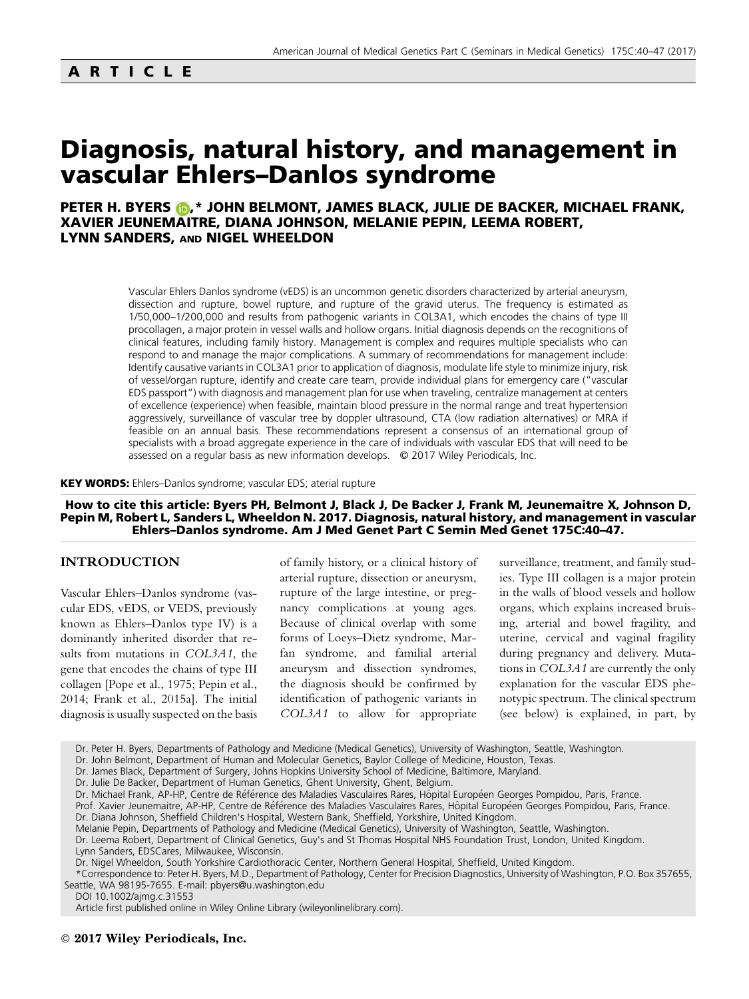# ARTICLE

# Diagnosis, natural history, and management in vascular Ehlers–Danlos syndrome

# PETER H. BYERS (D[,](http://orcid.org/0000-0001-7786-7030)\* JOHN BELMONT, JAMES BLACK, JULIE DE BACKER, MICHAEL FRANK, XAVIER JEUNEMAITRE, DIANA JOHNSON, MELANIE PEPIN, LEEMA ROBERT, LYNN SANDERS, AND NIGEL WHEELDON

Vascular Ehlers Danlos syndrome (vEDS) is an uncommon genetic disorders characterized by arterial aneurysm, dissection and rupture, bowel rupture, and rupture of the gravid uterus. The frequency is estimated as 1/50,000–1/200,000 and results from pathogenic variants in COL3A1, which encodes the chains of type III procollagen, a major protein in vessel walls and hollow organs. Initial diagnosis depends on the recognitions of clinical features, including family history. Management is complex and requires multiple specialists who can respond to and manage the major complications. A summary of recommendations for management include: Identify causative variants in COL3A1 prior to application of diagnosis, modulate life style to minimize injury, risk of vessel/organ rupture, identify and create care team, provide individual plans for emergency care ("vascular EDS passport") with diagnosis and management plan for use when traveling, centralize management at centers of excellence (experience) when feasible, maintain blood pressure in the normal range and treat hypertension aggressively, surveillance of vascular tree by doppler ultrasound, CTA (low radiation alternatives) or MRA if feasible on an annual basis. These recommendations represent a consensus of an international group of specialists with a broad aggregate experience in the care of individuals with vascular EDS that will need to be assessed on a regular basis as new information develops. © 2017 Wiley Periodicals, Inc.

#### KEY WORDS: Ehlers–Danlos syndrome; vascular EDS; aterial rupture

# How to cite this article: Byers PH, Belmont J, Black J, De Backer J, Frank M, Jeunemaitre X, Johnson D, Pepin M, Robert L, Sanders L, Wheeldon N. 2017. Diagnosis, natural history, and management in vascular Ehlers–Danlos syndrome. Am J Med Genet Part C Semin Med Genet 175C:40–47.

## INTRODUCTION

Vascular Ehlers–Danlos syndrome (vascular EDS, vEDS, or VEDS, previously known as Ehlers–Danlos type IV) is a dominantly inherited disorder that results from mutations in COL3A1, the gene that encodes the chains of type III collagen [Pope et al., 1975; Pepin et al., 2014; Frank et al., 2015a]. The initial diagnosis is usually suspected on the basis

of family history, or a clinical history of arterial rupture, dissection or aneurysm, rupture of the large intestine, or pregnancy complications at young ages. Because of clinical overlap with some forms of Loeys–Dietz syndrome, Marfan syndrome, and familial arterial aneurysm and dissection syndromes, the diagnosis should be confirmed by identification of pathogenic variants in COL3A1 to allow for appropriate

surveillance, treatment, and family studies. Type III collagen is a major protein in the walls of blood vessels and hollow organs, which explains increased bruising, arterial and bowel fragility, and uterine, cervical and vaginal fragility during pregnancy and delivery. Mutations in COL3A1 are currently the only explanation for the vascular EDS phenotypic spectrum. The clinical spectrum (see below) is explained, in part, by

Dr. Peter H. Byers, Departments of Pathology and Medicine (Medical Genetics), University of Washington, Seattle, Washington.

- Dr. John Belmont, Department of Human and Molecular Genetics, Baylor College of Medicine, Houston, Texas.
- Dr. James Black, Department of Surgery, Johns Hopkins University School of Medicine, Baltimore, Maryland.
- Dr. Julie De Backer, Department of Human Genetics, Ghent University, Ghent, Belgium.
- Dr. Michael Frank, AP-HP, Centre de Référence des Maladies Vasculaires Rares, Hôpital Européen Georges Pompidou, Paris, France.

Prof. Xavier Jeunemaitre, AP-HP, Centre de Référence des Maladies Vasculaires Rares, Hôpital Européen Georges Pompidou, Paris, France.

Dr. Diana Johnson, Sheffield Children's Hospital, Western Bank, Sheffield, Yorkshire, United Kingdom.

Melanie Pepin, Departments of Pathology and Medicine (Medical Genetics), University of Washington, Seattle, Washington.

Dr. Leema Robert, Department of Clinical Genetics, Guy's and St Thomas Hospital NHS Foundation Trust, London, United Kingdom. Lynn Sanders, EDSCares, Milwaukee, Wisconsin.

Dr. Nigel Wheeldon, South Yorkshire Cardiothoracic Center, Northern General Hospital, Sheffield, United Kingdom.

\*Correspondence to: Peter H. Byers, M.D., Department of Pathology, Center for Precision Diagnostics, University of Washington, P.O. Box 357655, Seattle, WA 98195-7655. E-mail: pbyers@u.washington.edu

DOI 10.1002/ajmg.c.31553

Article first published online in Wiley Online Library (wileyonlinelibrary.com).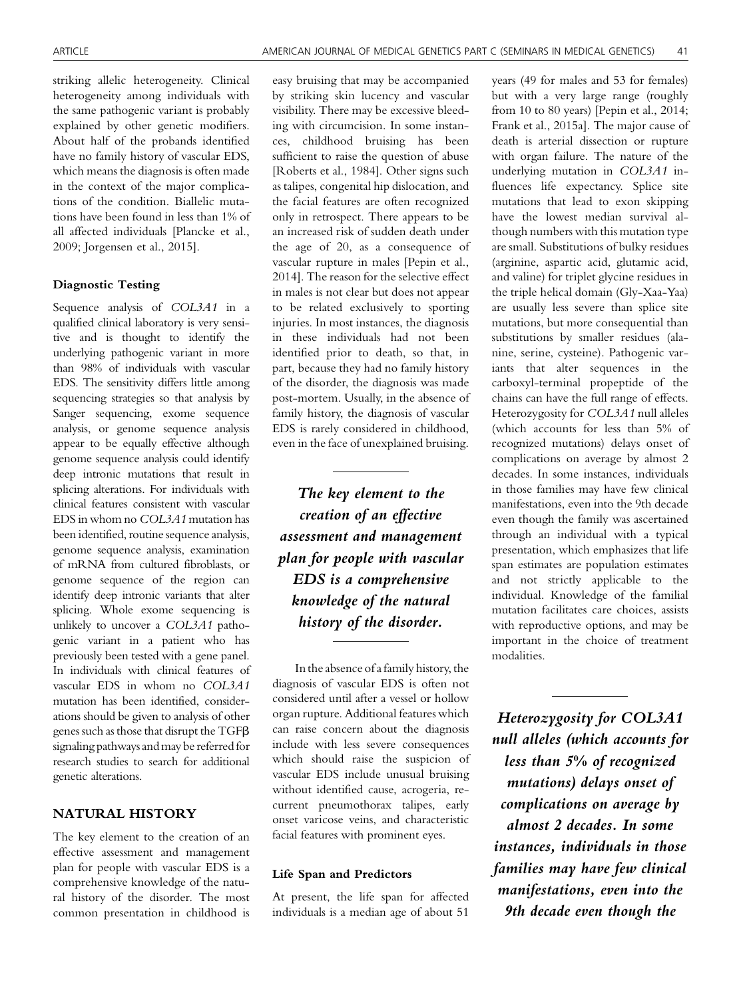striking allelic heterogeneity. Clinical heterogeneity among individuals with the same pathogenic variant is probably explained by other genetic modifiers. About half of the probands identified have no family history of vascular EDS, which means the diagnosis is often made in the context of the major complications of the condition. Biallelic mutations have been found in less than 1% of all affected individuals [Plancke et al., 2009; Jorgensen et al., 2015].

## Diagnostic Testing

Sequence analysis of COL3A1 in a qualified clinical laboratory is very sensitive and is thought to identify the underlying pathogenic variant in more than 98% of individuals with vascular EDS. The sensitivity differs little among sequencing strategies so that analysis by Sanger sequencing, exome sequence analysis, or genome sequence analysis appear to be equally effective although genome sequence analysis could identify deep intronic mutations that result in splicing alterations. For individuals with clinical features consistent with vascular EDS in whom no COL3A1 mutation has been identified, routine sequence analysis, genome sequence analysis, examination of mRNA from cultured fibroblasts, or genome sequence of the region can identify deep intronic variants that alter splicing. Whole exome sequencing is unlikely to uncover a COL3A1 pathogenic variant in a patient who has previously been tested with a gene panel. In individuals with clinical features of vascular EDS in whom no COL3A1 mutation has been identified, considerations should be given to analysis of other genes such as those that disrupt the  $TGF\beta$ signaling pathways and may be referred for research studies to search for additional genetic alterations.

# NATURAL HISTORY

The key element to the creation of an effective assessment and management plan for people with vascular EDS is a comprehensive knowledge of the natural history of the disorder. The most common presentation in childhood is

easy bruising that may be accompanied by striking skin lucency and vascular visibility. There may be excessive bleeding with circumcision. In some instances, childhood bruising has been sufficient to raise the question of abuse [Roberts et al., 1984]. Other signs such as talipes, congenital hip dislocation, and the facial features are often recognized only in retrospect. There appears to be an increased risk of sudden death under the age of 20, as a consequence of vascular rupture in males [Pepin et al., 2014]. The reason for the selective effect in males is not clear but does not appear to be related exclusively to sporting injuries. In most instances, the diagnosis in these individuals had not been identified prior to death, so that, in part, because they had no family history of the disorder, the diagnosis was made post-mortem. Usually, in the absence of family history, the diagnosis of vascular EDS is rarely considered in childhood, even in the face of unexplained bruising.

The key element to the creation of an effective assessment and management plan for people with vascular EDS is a comprehensive knowledge of the natural history of the disorder.

Inthe absence of a family history, the diagnosis of vascular EDS is often not considered until after a vessel or hollow organ rupture. Additional features which can raise concern about the diagnosis include with less severe consequences which should raise the suspicion of vascular EDS include unusual bruising without identified cause, acrogeria, recurrent pneumothorax talipes, early onset varicose veins, and characteristic facial features with prominent eyes.

# Life Span and Predictors

At present, the life span for affected individuals is a median age of about 51

years (49 for males and 53 for females) but with a very large range (roughly from 10 to 80 years) [Pepin et al., 2014; Frank et al., 2015a]. The major cause of death is arterial dissection or rupture with organ failure. The nature of the underlying mutation in COL3A1 influences life expectancy. Splice site mutations that lead to exon skipping have the lowest median survival although numbers with this mutation type are small. Substitutions of bulky residues (arginine, aspartic acid, glutamic acid, and valine) for triplet glycine residues in the triple helical domain (Gly-Xaa-Yaa) are usually less severe than splice site mutations, but more consequential than substitutions by smaller residues (alanine, serine, cysteine). Pathogenic variants that alter sequences in the carboxyl-terminal propeptide of the chains can have the full range of effects. Heterozygosity for COL3A1 null alleles (which accounts for less than 5% of recognized mutations) delays onset of complications on average by almost 2 decades. In some instances, individuals in those families may have few clinical manifestations, even into the 9th decade even though the family was ascertained through an individual with a typical presentation, which emphasizes that life span estimates are population estimates and not strictly applicable to the individual. Knowledge of the familial mutation facilitates care choices, assists with reproductive options, and may be important in the choice of treatment modalities.

Heterozygosity for COL3A1 null alleles (which accounts for less than 5% of recognized mutations) delays onset of complications on average by almost 2 decades. In some instances, individuals in those families may have few clinical manifestations, even into the 9th decade even though the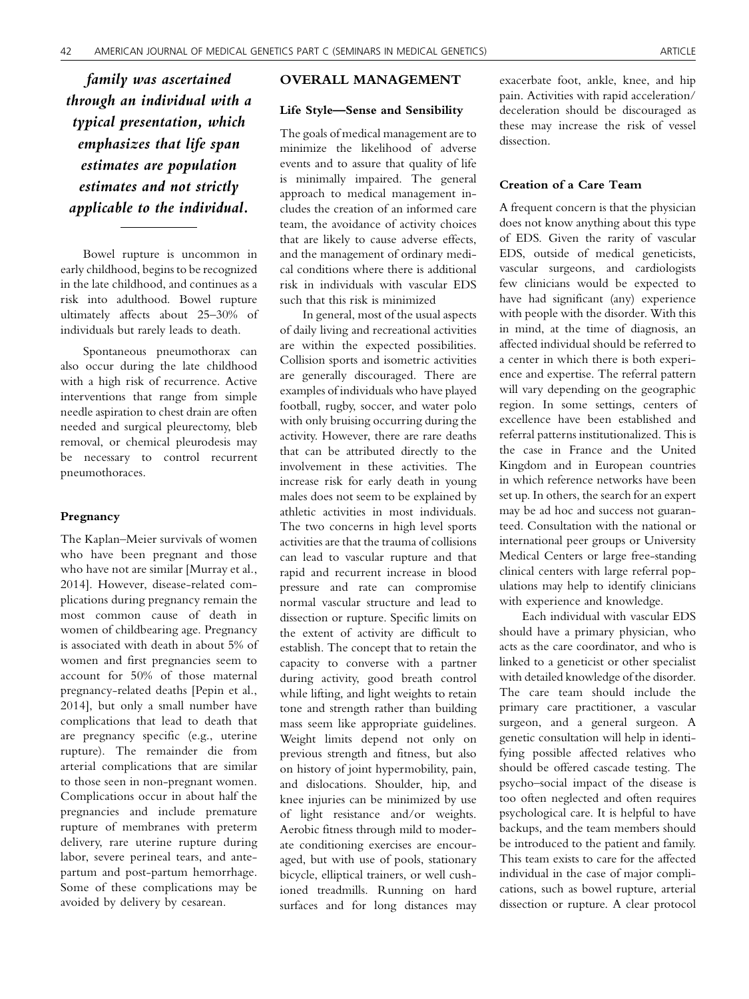family was ascertained through an individual with a typical presentation, which emphasizes that life span estimates are population estimates and not strictly applicable to the individual.

Bowel rupture is uncommon in early childhood, begins to be recognized in the late childhood, and continues as a risk into adulthood. Bowel rupture ultimately affects about 25–30% of individuals but rarely leads to death.

Spontaneous pneumothorax can also occur during the late childhood with a high risk of recurrence. Active interventions that range from simple needle aspiration to chest drain are often needed and surgical pleurectomy, bleb removal, or chemical pleurodesis may be necessary to control recurrent pneumothoraces.

## Pregnancy

The Kaplan–Meier survivals of women who have been pregnant and those who have not are similar [Murray et al., 2014]. However, disease-related complications during pregnancy remain the most common cause of death in women of childbearing age. Pregnancy is associated with death in about 5% of women and first pregnancies seem to account for 50% of those maternal pregnancy-related deaths [Pepin et al., 2014], but only a small number have complications that lead to death that are pregnancy specific (e.g., uterine rupture). The remainder die from arterial complications that are similar to those seen in non-pregnant women. Complications occur in about half the pregnancies and include premature rupture of membranes with preterm delivery, rare uterine rupture during labor, severe perineal tears, and antepartum and post-partum hemorrhage. Some of these complications may be avoided by delivery by cesarean.

## OVERALL MANAGEMENT

# Life Style—Sense and Sensibility

The goals of medical management are to minimize the likelihood of adverse events and to assure that quality of life is minimally impaired. The general approach to medical management includes the creation of an informed care team, the avoidance of activity choices that are likely to cause adverse effects, and the management of ordinary medical conditions where there is additional risk in individuals with vascular EDS such that this risk is minimized

In general, most of the usual aspects of daily living and recreational activities are within the expected possibilities. Collision sports and isometric activities are generally discouraged. There are examples of individuals who have played football, rugby, soccer, and water polo with only bruising occurring during the activity. However, there are rare deaths that can be attributed directly to the involvement in these activities. The increase risk for early death in young males does not seem to be explained by athletic activities in most individuals. The two concerns in high level sports activities are that the trauma of collisions can lead to vascular rupture and that rapid and recurrent increase in blood pressure and rate can compromise normal vascular structure and lead to dissection or rupture. Specific limits on the extent of activity are difficult to establish. The concept that to retain the capacity to converse with a partner during activity, good breath control while lifting, and light weights to retain tone and strength rather than building mass seem like appropriate guidelines. Weight limits depend not only on previous strength and fitness, but also on history of joint hypermobility, pain, and dislocations. Shoulder, hip, and knee injuries can be minimized by use of light resistance and/or weights. Aerobic fitness through mild to moderate conditioning exercises are encouraged, but with use of pools, stationary bicycle, elliptical trainers, or well cushioned treadmills. Running on hard surfaces and for long distances may

exacerbate foot, ankle, knee, and hip pain. Activities with rapid acceleration/ deceleration should be discouraged as these may increase the risk of vessel dissection.

## Creation of a Care Team

A frequent concern is that the physician does not know anything about this type of EDS. Given the rarity of vascular EDS, outside of medical geneticists, vascular surgeons, and cardiologists few clinicians would be expected to have had significant (any) experience with people with the disorder. With this in mind, at the time of diagnosis, an affected individual should be referred to a center in which there is both experience and expertise. The referral pattern will vary depending on the geographic region. In some settings, centers of excellence have been established and referral patterns institutionalized. This is the case in France and the United Kingdom and in European countries in which reference networks have been set up. In others, the search for an expert may be ad hoc and success not guaranteed. Consultation with the national or international peer groups or University Medical Centers or large free-standing clinical centers with large referral populations may help to identify clinicians with experience and knowledge.

Each individual with vascular EDS should have a primary physician, who acts as the care coordinator, and who is linked to a geneticist or other specialist with detailed knowledge of the disorder. The care team should include the primary care practitioner, a vascular surgeon, and a general surgeon. A genetic consultation will help in identifying possible affected relatives who should be offered cascade testing. The psycho–social impact of the disease is too often neglected and often requires psychological care. It is helpful to have backups, and the team members should be introduced to the patient and family. This team exists to care for the affected individual in the case of major complications, such as bowel rupture, arterial dissection or rupture. A clear protocol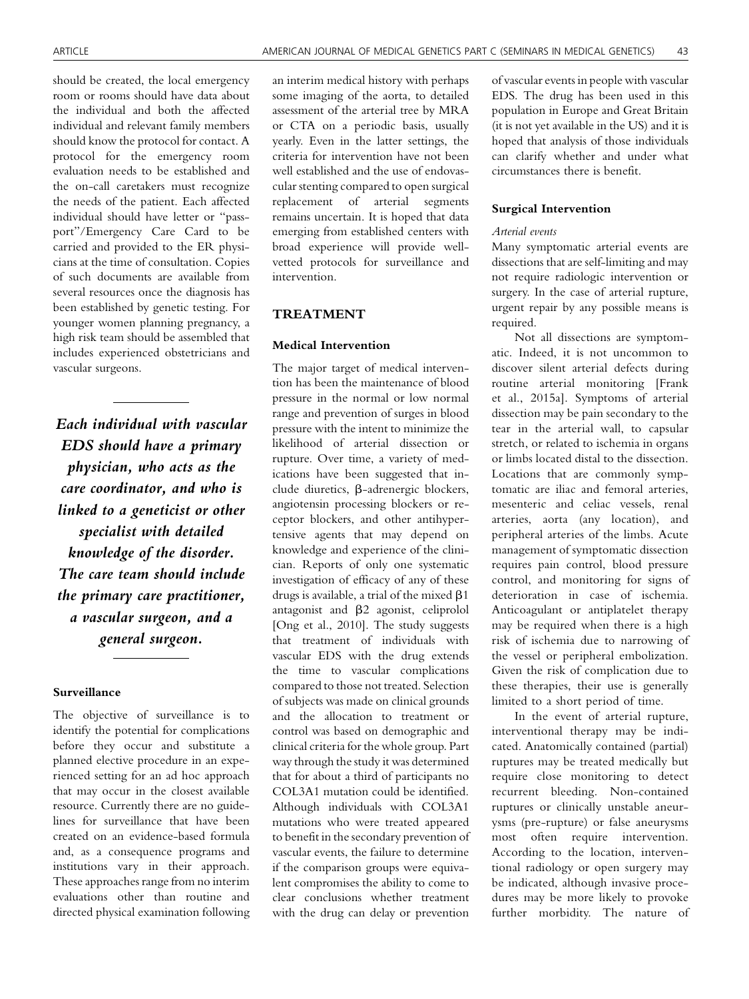should be created, the local emergency room or rooms should have data about the individual and both the affected individual and relevant family members should know the protocol for contact. A protocol for the emergency room evaluation needs to be established and the on-call caretakers must recognize the needs of the patient. Each affected individual should have letter or "passport"/Emergency Care Card to be carried and provided to the ER physicians at the time of consultation. Copies of such documents are available from several resources once the diagnosis has been established by genetic testing. For younger women planning pregnancy, a high risk team should be assembled that includes experienced obstetricians and vascular surgeons.

Each individual with vascular EDS should have a primary physician, who acts as the care coordinator, and who is linked to a geneticist or other specialist with detailed knowledge of the disorder. The care team should include the primary care practitioner, a vascular surgeon, and a general surgeon.

# Surveillance

The objective of surveillance is to identify the potential for complications before they occur and substitute a planned elective procedure in an experienced setting for an ad hoc approach that may occur in the closest available resource. Currently there are no guidelines for surveillance that have been created on an evidence-based formula and, as a consequence programs and institutions vary in their approach. These approaches range from no interim evaluations other than routine and directed physical examination following an interim medical history with perhaps some imaging of the aorta, to detailed assessment of the arterial tree by MRA or CTA on a periodic basis, usually yearly. Even in the latter settings, the criteria for intervention have not been well established and the use of endovascular stenting compared to open surgical replacement of arterial segments remains uncertain. It is hoped that data emerging from established centers with broad experience will provide wellvetted protocols for surveillance and intervention.

# TREATMENT

# Medical Intervention

The major target of medical intervention has been the maintenance of blood pressure in the normal or low normal range and prevention of surges in blood pressure with the intent to minimize the likelihood of arterial dissection or rupture. Over time, a variety of medications have been suggested that include diuretics, b-adrenergic blockers, angiotensin processing blockers or receptor blockers, and other antihypertensive agents that may depend on knowledge and experience of the clinician. Reports of only one systematic investigation of efficacy of any of these drugs is available, a trial of the mixed  $\beta$ 1 antagonist and  $\beta$ 2 agonist, celiprolol [Ong et al., 2010]. The study suggests that treatment of individuals with vascular EDS with the drug extends the time to vascular complications compared to those not treated. Selection of subjects was made on clinical grounds and the allocation to treatment or control was based on demographic and clinical criteria for the whole group. Part way through the study it was determined that for about a third of participants no COL3A1 mutation could be identified. Although individuals with COL3A1 mutations who were treated appeared to benefit in the secondary prevention of vascular events, the failure to determine if the comparison groups were equivalent compromises the ability to come to clear conclusions whether treatment with the drug can delay or prevention

of vascular events in people with vascular EDS. The drug has been used in this population in Europe and Great Britain (it is not yet available in the US) and it is hoped that analysis of those individuals can clarify whether and under what circumstances there is benefit.

# Surgical Intervention

#### Arterial events

Many symptomatic arterial events are dissections that are self-limiting and may not require radiologic intervention or surgery. In the case of arterial rupture, urgent repair by any possible means is required.

Not all dissections are symptomatic. Indeed, it is not uncommon to discover silent arterial defects during routine arterial monitoring [Frank et al., 2015a]. Symptoms of arterial dissection may be pain secondary to the tear in the arterial wall, to capsular stretch, or related to ischemia in organs or limbs located distal to the dissection. Locations that are commonly symptomatic are iliac and femoral arteries, mesenteric and celiac vessels, renal arteries, aorta (any location), and peripheral arteries of the limbs. Acute management of symptomatic dissection requires pain control, blood pressure control, and monitoring for signs of deterioration in case of ischemia. Anticoagulant or antiplatelet therapy may be required when there is a high risk of ischemia due to narrowing of the vessel or peripheral embolization. Given the risk of complication due to these therapies, their use is generally limited to a short period of time.

In the event of arterial rupture, interventional therapy may be indicated. Anatomically contained (partial) ruptures may be treated medically but require close monitoring to detect recurrent bleeding. Non-contained ruptures or clinically unstable aneurysms (pre-rupture) or false aneurysms most often require intervention. According to the location, interventional radiology or open surgery may be indicated, although invasive procedures may be more likely to provoke further morbidity. The nature of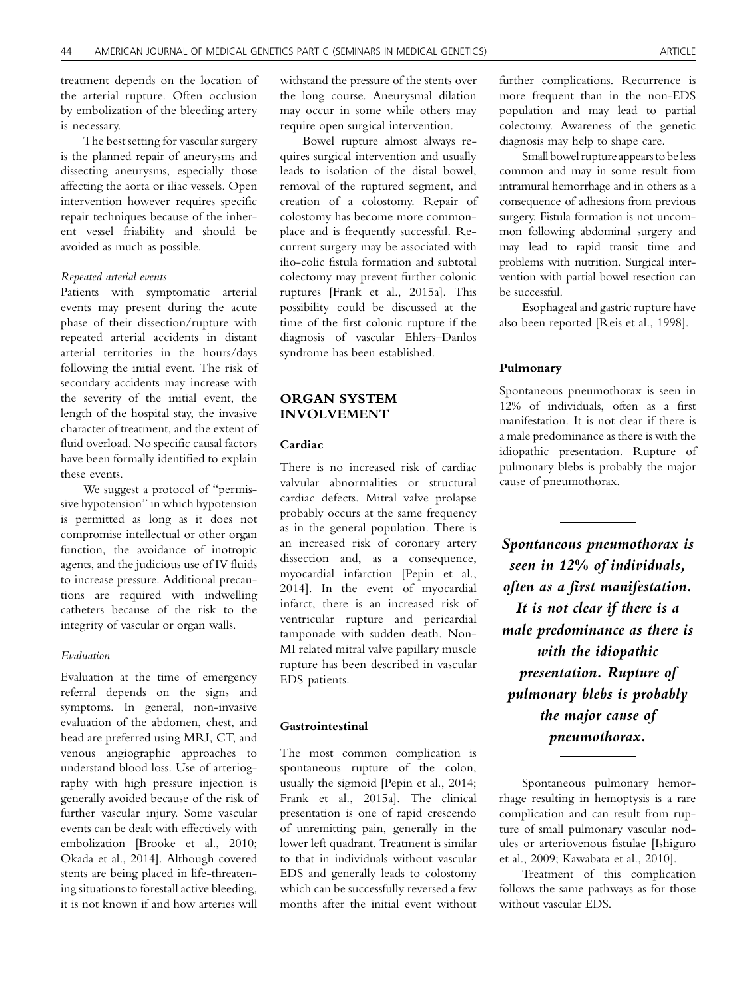treatment depends on the location of the arterial rupture. Often occlusion by embolization of the bleeding artery is necessary.

The best setting for vascular surgery is the planned repair of aneurysms and dissecting aneurysms, especially those affecting the aorta or iliac vessels. Open intervention however requires specific repair techniques because of the inherent vessel friability and should be avoided as much as possible.

# Repeated arterial events

Patients with symptomatic arterial events may present during the acute phase of their dissection/rupture with repeated arterial accidents in distant arterial territories in the hours/days following the initial event. The risk of secondary accidents may increase with the severity of the initial event, the length of the hospital stay, the invasive character of treatment, and the extent of fluid overload. No specific causal factors have been formally identified to explain these events.

We suggest a protocol of "permissive hypotension" in which hypotension is permitted as long as it does not compromise intellectual or other organ function, the avoidance of inotropic agents, and the judicious use of IV fluids to increase pressure. Additional precautions are required with indwelling catheters because of the risk to the integrity of vascular or organ walls.

#### Evaluation

Evaluation at the time of emergency referral depends on the signs and symptoms. In general, non-invasive evaluation of the abdomen, chest, and head are preferred using MRI, CT, and venous angiographic approaches to understand blood loss. Use of arteriography with high pressure injection is generally avoided because of the risk of further vascular injury. Some vascular events can be dealt with effectively with embolization [Brooke et al., 2010; Okada et al., 2014]. Although covered stents are being placed in life-threatening situations to forestall active bleeding, it is not known if and how arteries will

withstand the pressure of the stents over the long course. Aneurysmal dilation may occur in some while others may require open surgical intervention.

Bowel rupture almost always requires surgical intervention and usually leads to isolation of the distal bowel, removal of the ruptured segment, and creation of a colostomy. Repair of colostomy has become more commonplace and is frequently successful. Recurrent surgery may be associated with ilio-colic fistula formation and subtotal colectomy may prevent further colonic ruptures [Frank et al., 2015a]. This possibility could be discussed at the time of the first colonic rupture if the diagnosis of vascular Ehlers–Danlos syndrome has been established.

# ORGAN SYSTEM INVOLVEMENT

# Cardiac

There is no increased risk of cardiac valvular abnormalities or structural cardiac defects. Mitral valve prolapse probably occurs at the same frequency as in the general population. There is an increased risk of coronary artery dissection and, as a consequence, myocardial infarction [Pepin et al., 2014]. In the event of myocardial infarct, there is an increased risk of ventricular rupture and pericardial tamponade with sudden death. Non-MI related mitral valve papillary muscle rupture has been described in vascular EDS patients.

# Gastrointestinal

The most common complication is spontaneous rupture of the colon, usually the sigmoid [Pepin et al., 2014; Frank et al., 2015a]. The clinical presentation is one of rapid crescendo of unremitting pain, generally in the lower left quadrant. Treatment is similar to that in individuals without vascular EDS and generally leads to colostomy which can be successfully reversed a few months after the initial event without further complications. Recurrence is more frequent than in the non-EDS population and may lead to partial colectomy. Awareness of the genetic diagnosis may help to shape care.

Small bowel rupture appearsto be less common and may in some result from intramural hemorrhage and in others as a consequence of adhesions from previous surgery. Fistula formation is not uncommon following abdominal surgery and may lead to rapid transit time and problems with nutrition. Surgical intervention with partial bowel resection can be successful.

Esophageal and gastric rupture have also been reported [Reis et al., 1998].

## Pulmonary

Spontaneous pneumothorax is seen in 12% of individuals, often as a first manifestation. It is not clear if there is a male predominance as there is with the idiopathic presentation. Rupture of pulmonary blebs is probably the major cause of pneumothorax.

Spontaneous pneumothorax is seen in 12% of individuals, often as a first manifestation. It is not clear if there is a male predominance as there is with the idiopathic presentation. Rupture of pulmonary blebs is probably the major cause of pneumothorax.

Spontaneous pulmonary hemorrhage resulting in hemoptysis is a rare complication and can result from rupture of small pulmonary vascular nodules or arteriovenous fistulae [Ishiguro et al., 2009; Kawabata et al., 2010].

Treatment of this complication follows the same pathways as for those without vascular EDS.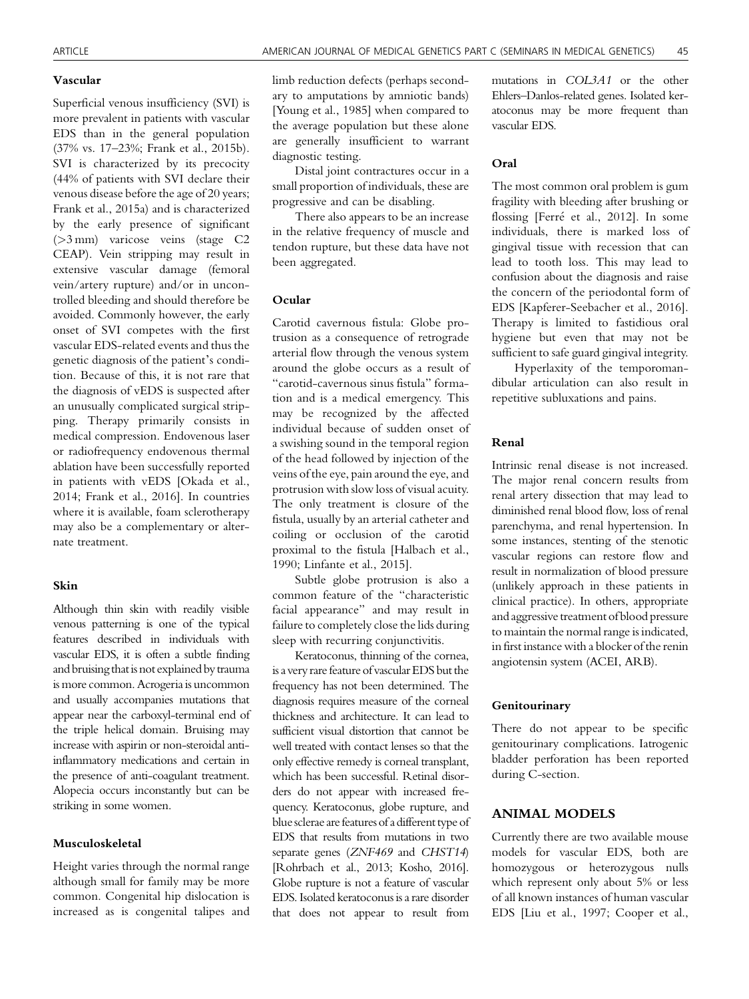## Vascular

Superficial venous insufficiency (SVI) is more prevalent in patients with vascular EDS than in the general population (37% vs. 17–23%; Frank et al., 2015b). SVI is characterized by its precocity (44% of patients with SVI declare their venous disease before the age of 20 years; Frank et al., 2015a) and is characterized by the early presence of significant (>3 mm) varicose veins (stage C2 CEAP). Vein stripping may result in extensive vascular damage (femoral vein/artery rupture) and/or in uncontrolled bleeding and should therefore be avoided. Commonly however, the early onset of SVI competes with the first vascular EDS-related events and thus the genetic diagnosis of the patient's condition. Because of this, it is not rare that the diagnosis of vEDS is suspected after an unusually complicated surgical stripping. Therapy primarily consists in medical compression. Endovenous laser or radiofrequency endovenous thermal ablation have been successfully reported in patients with vEDS [Okada et al., 2014; Frank et al., 2016]. In countries where it is available, foam sclerotherapy may also be a complementary or alternate treatment.

## Skin

Although thin skin with readily visible venous patterning is one of the typical features described in individuals with vascular EDS, it is often a subtle finding and bruising that is not explained by trauma is more common. Acrogeria is uncommon and usually accompanies mutations that appear near the carboxyl-terminal end of the triple helical domain. Bruising may increase with aspirin or non-steroidal antiinflammatory medications and certain in the presence of anti-coagulant treatment. Alopecia occurs inconstantly but can be striking in some women.

## Musculoskeletal

Height varies through the normal range although small for family may be more common. Congenital hip dislocation is increased as is congenital talipes and limb reduction defects (perhaps secondary to amputations by amniotic bands) [Young et al., 1985] when compared to the average population but these alone are generally insufficient to warrant diagnostic testing.

Distal joint contractures occur in a small proportion of individuals, these are progressive and can be disabling.

There also appears to be an increase in the relative frequency of muscle and tendon rupture, but these data have not been aggregated.

# Ocular

Carotid cavernous fistula: Globe protrusion as a consequence of retrograde arterial flow through the venous system around the globe occurs as a result of "carotid-cavernous sinus fistula" formation and is a medical emergency. This may be recognized by the affected individual because of sudden onset of a swishing sound in the temporal region of the head followed by injection of the veins of the eye, pain around the eye, and protrusion with slow loss of visual acuity. The only treatment is closure of the fistula, usually by an arterial catheter and coiling or occlusion of the carotid proximal to the fistula [Halbach et al., 1990; Linfante et al., 2015].

Subtle globe protrusion is also a common feature of the "characteristic facial appearance" and may result in failure to completely close the lids during sleep with recurring conjunctivitis.

Keratoconus, thinning of the cornea, is a very rare feature of vascular EDS but the frequency has not been determined. The diagnosis requires measure of the corneal thickness and architecture. It can lead to sufficient visual distortion that cannot be well treated with contact lenses so that the only effective remedy is corneal transplant, which has been successful. Retinal disorders do not appear with increased frequency. Keratoconus, globe rupture, and blue sclerae are features of a different type of EDS that results from mutations in two separate genes (ZNF469 and CHST14) [Rohrbach et al., 2013; Kosho, 2016]. Globe rupture is not a feature of vascular EDS. Isolated keratoconus is a rare disorder that does not appear to result from

mutations in COL3A1 or the other Ehlers–Danlos-related genes. Isolated keratoconus may be more frequent than vascular EDS.

## Oral

The most common oral problem is gum fragility with bleeding after brushing or flossing [Ferré et al., 2012]. In some individuals, there is marked loss of gingival tissue with recession that can lead to tooth loss. This may lead to confusion about the diagnosis and raise the concern of the periodontal form of EDS [Kapferer-Seebacher et al., 2016]. Therapy is limited to fastidious oral hygiene but even that may not be sufficient to safe guard gingival integrity.

Hyperlaxity of the temporomandibular articulation can also result in repetitive subluxations and pains.

## Renal

Intrinsic renal disease is not increased. The major renal concern results from renal artery dissection that may lead to diminished renal blood flow, loss of renal parenchyma, and renal hypertension. In some instances, stenting of the stenotic vascular regions can restore flow and result in normalization of blood pressure (unlikely approach in these patients in clinical practice). In others, appropriate and aggressive treatment of blood pressure to maintain the normal range is indicated, in first instance with a blocker of the renin angiotensin system (ACEI, ARB).

## Genitourinary

There do not appear to be specific genitourinary complications. Iatrogenic bladder perforation has been reported during C-section.

# ANIMAL MODELS

Currently there are two available mouse models for vascular EDS, both are homozygous or heterozygous nulls which represent only about 5% or less of all known instances of human vascular EDS [Liu et al., 1997; Cooper et al.,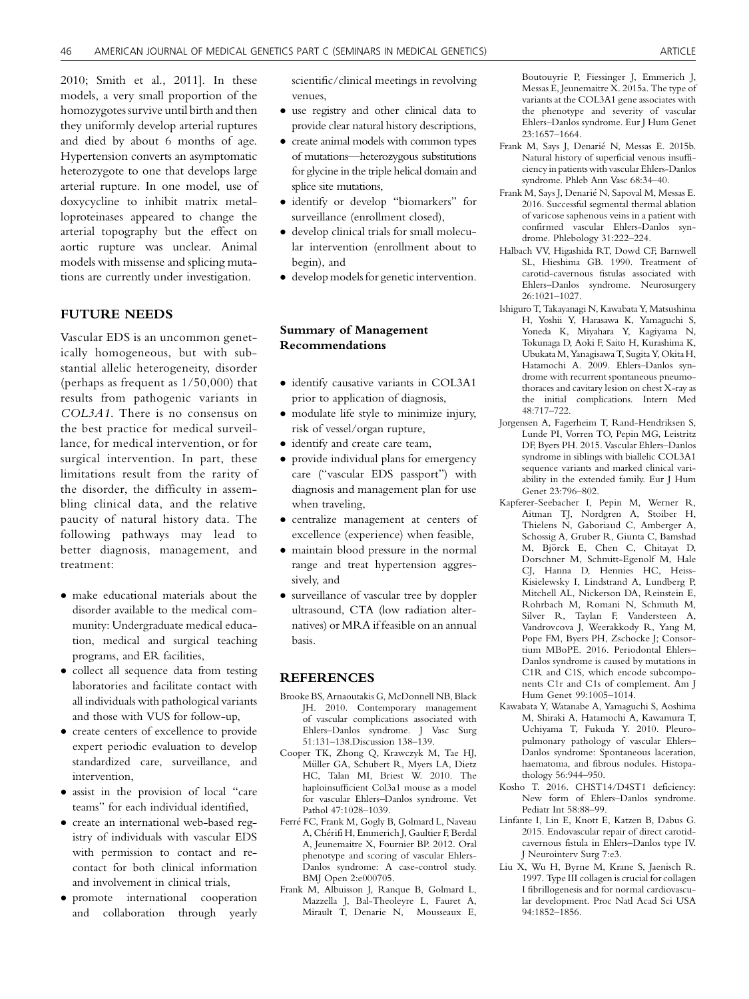2010; Smith et al., 2011]. In these models, a very small proportion of the homozygotes survive until birth and then they uniformly develop arterial ruptures and died by about 6 months of age. Hypertension converts an asymptomatic heterozygote to one that develops large arterial rupture. In one model, use of doxycycline to inhibit matrix metalloproteinases appeared to change the arterial topography but the effect on aortic rupture was unclear. Animal models with missense and splicing mutations are currently under investigation.

# FUTURE NEEDS

Vascular EDS is an uncommon genetically homogeneous, but with substantial allelic heterogeneity, disorder (perhaps as frequent as 1/50,000) that results from pathogenic variants in COL3A1. There is no consensus on the best practice for medical surveillance, for medical intervention, or for surgical intervention. In part, these limitations result from the rarity of the disorder, the difficulty in assembling clinical data, and the relative paucity of natural history data. The following pathways may lead to better diagnosis, management, and treatment:

- make educational materials about the disorder available to the medical community: Undergraduate medical education, medical and surgical teaching programs, and ER facilities,
- collect all sequence data from testing laboratories and facilitate contact with all individuals with pathological variants and those with VUS for follow-up,
- create centers of excellence to provide expert periodic evaluation to develop standardized care, surveillance, and intervention,
- assist in the provision of local "care teams" for each individual identified,
- create an international web-based registry of individuals with vascular EDS with permission to contact and recontact for both clinical information and involvement in clinical trials,
- promote international cooperation and collaboration through yearly

scientific/clinical meetings in revolving venues,

- use registry and other clinical data to provide clear natural history descriptions,
- create animal models with common types of mutations—heterozygous substitutions for glycine in the triple helical domain and splice site mutations,
- identify or develop "biomarkers" for surveillance (enrollment closed),
- develop clinical trials for small molecular intervention (enrollment about to begin), and
- develop models for genetic intervention.

# Summary of Management Recommendations

- $\bullet$  identify causative variants in COL3A1 prior to application of diagnosis,
- modulate life style to minimize injury, risk of vessel/organ rupture,
- identify and create care team,
- provide individual plans for emergency care ("vascular EDS passport") with diagnosis and management plan for use when traveling,
- centralize management at centers of excellence (experience) when feasible,
- maintain blood pressure in the normal range and treat hypertension aggressively, and
- surveillance of vascular tree by doppler ultrasound, CTA (low radiation alternatives) or MRA if feasible on an annual basis.

## REFERENCES

- Brooke BS, Arnaoutakis G, McDonnell NB, Black JH. 2010. Contemporary management of vascular complications associated with Ehlers–Danlos syndrome. J Vasc Surg 51:131–138.Discussion 138–139.
- Cooper TK, Zhong Q, Krawczyk M, Tae HJ, Müller GA, Schubert R, Myers LA, Dietz HC, Talan MI, Briest W. 2010. The haploinsufficient Col3a1 mouse as a model for vascular Ehlers–Danlos syndrome. Vet Pathol 47:1028–1039.
- Ferré FC, Frank M, Gogly B, Golmard L, Naveau A, Cherifi H, Emmerich J, Gaultier F, Berdal A, Jeunemaitre X, Fournier BP. 2012. Oral phenotype and scoring of vascular Ehlers-Danlos syndrome: A case-control study. BMJ Open 2:e000705.
- Frank M, Albuisson J, Ranque B, Golmard L, Mazzella J, Bal-Theoleyre L, Fauret A, Mirault T, Denarie N, Mousseaux E,

Boutouyrie P, Fiessinger J, Emmerich J, Messas E, Jeunemaitre X. 2015a. The type of variants at the COL3A1 gene associates with the phenotype and severity of vascular Ehlers–Danlos syndrome. Eur J Hum Genet 23:1657–1664.

- Frank M, Says J, Denarie N, Messas E. 2015b. Natural history of superficial venous insufficiency in patients with vascular Ehlers-Danlos syndrome. Phleb Ann Vasc 68:34–40.
- Frank M, Says J, Denarie N, Sapoval M, Messas E. 2016. Successful segmental thermal ablation of varicose saphenous veins in a patient with confirmed vascular Ehlers-Danlos syndrome. Phlebology 31:222–224.
- Halbach VV, Higashida RT, Dowd CF, Barnwell SL, Hieshima GB. 1990. Treatment of carotid-cavernous fistulas associated with Ehlers–Danlos syndrome. Neurosurgery 26:1021–1027.
- Ishiguro T, Takayanagi N, Kawabata Y, Matsushima H, Yoshii Y, Harasawa K, Yamaguchi S, Yoneda K, Miyahara Y, Kagiyama N, Tokunaga D, Aoki F, Saito H, Kurashima K, UbukataM, Yanagisawa T, Sugita Y, Okita H, Hatamochi A. 2009. Ehlers–Danlos syndrome with recurrent spontaneous pneumothoraces and cavitary lesion on chest X-ray as the initial complications. Intern Med 48:717–722.
- Jorgensen A, Fagerheim T, Rand-Hendriksen S, Lunde PI, Vorren TO, Pepin MG, Leistritz DF, Byers PH. 2015. Vascular Ehlers–Danlos syndrome in siblings with biallelic COL3A1 sequence variants and marked clinical variability in the extended family. Eur J Hum Genet 23:796–802.
- Kapferer-Seebacher I, Pepin M, Werner R, Aitman TJ, Nordgren A, Stoiber H, Thielens N, Gaboriaud C, Amberger A, Schossig A, Gruber R, Giunta C, Bamshad M, Björck E, Chen C, Chitayat D, Dorschner M, Schmitt-Egenolf M, Hale CJ, Hanna D, Hennies HC, Heiss-Kisielewsky I, Lindstrand A, Lundberg P, Mitchell AL, Nickerson DA, Reinstein E, Rohrbach M, Romani N, Schmuth M, Silver R, Taylan F, Vandersteen A, Vandrovcova J, Weerakkody R, Yang M, Pope FM, Byers PH, Zschocke J; Consortium MBoPE. 2016. Periodontal Ehlers– Danlos syndrome is caused by mutations in C1R and C1S, which encode subcomponents C1r and C1s of complement. Am J Hum Genet 99:1005–1014.
- Kawabata Y, Watanabe A, Yamaguchi S, Aoshima M, Shiraki A, Hatamochi A, Kawamura T, Uchiyama T, Fukuda Y. 2010. Pleuropulmonary pathology of vascular Ehlers– Danlos syndrome: Spontaneous laceration, haematoma, and fibrous nodules. Histopathology 56:944–950.
- Kosho T. 2016. CHST14/D4ST1 deficiency: New form of Ehlers–Danlos syndrome. Pediatr Int 58:88–99.
- Linfante I, Lin E, Knott E, Katzen B, Dabus G. 2015. Endovascular repair of direct carotidcavernous fistula in Ehlers–Danlos type IV. J Neurointerv Surg 7:e3.
- Liu X, Wu H, Byrne M, Krane S, Jaenisch R. 1997. Type III collagen is crucial for collagen I fibrillogenesis and for normal cardiovascular development. Proc Natl Acad Sci USA 94:1852–1856.